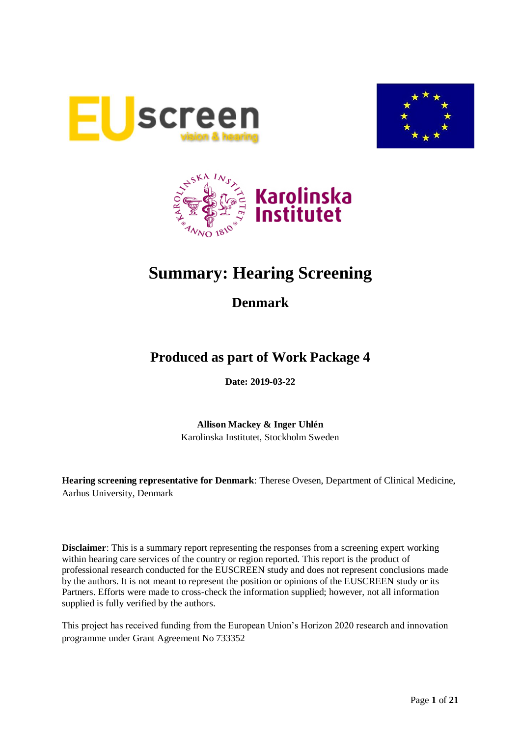





# **Summary: Hearing Screening**

# **Denmark**

# **Produced as part of Work Package 4**

**Date: 2019-03-22**

**Allison Mackey & Inger Uhlén** Karolinska Institutet, Stockholm Sweden

**Hearing screening representative for Denmark**: Therese Ovesen, Department of Clinical Medicine, Aarhus University, Denmark

**Disclaimer**: This is a summary report representing the responses from a screening expert working within hearing care services of the country or region reported. This report is the product of professional research conducted for the EUSCREEN study and does not represent conclusions made by the authors. It is not meant to represent the position or opinions of the EUSCREEN study or its Partners. Efforts were made to cross-check the information supplied; however, not all information supplied is fully verified by the authors.

This project has received funding from the European Union's Horizon 2020 research and innovation programme under Grant Agreement No 733352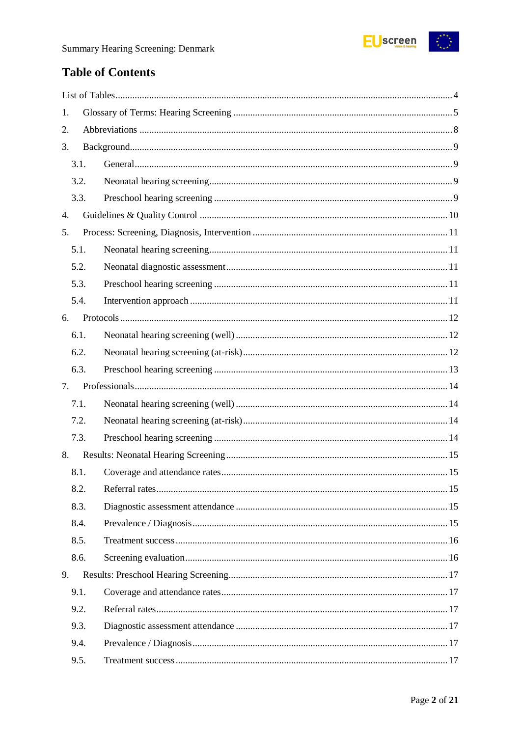

# **Table of Contents**

| 1. |      |  |
|----|------|--|
| 2. |      |  |
| 3. |      |  |
|    | 3.1. |  |
|    | 3.2. |  |
|    | 3.3. |  |
| 4. |      |  |
| 5. |      |  |
|    | 5.1. |  |
|    | 5.2. |  |
|    | 5.3. |  |
|    | 5.4. |  |
| 6. |      |  |
|    | 6.1. |  |
|    | 6.2. |  |
|    | 6.3. |  |
| 7. |      |  |
|    | 7.1. |  |
|    | 7.2. |  |
|    | 7.3. |  |
| 8. |      |  |
|    | 8.1. |  |
|    | 8.2. |  |
|    | 8.3. |  |
|    | 8.4. |  |
|    | 8.5. |  |
|    | 8.6. |  |
| 9. |      |  |
|    | 9.1. |  |
|    | 9.2. |  |
|    | 9.3. |  |
|    | 9.4. |  |
|    | 9.5. |  |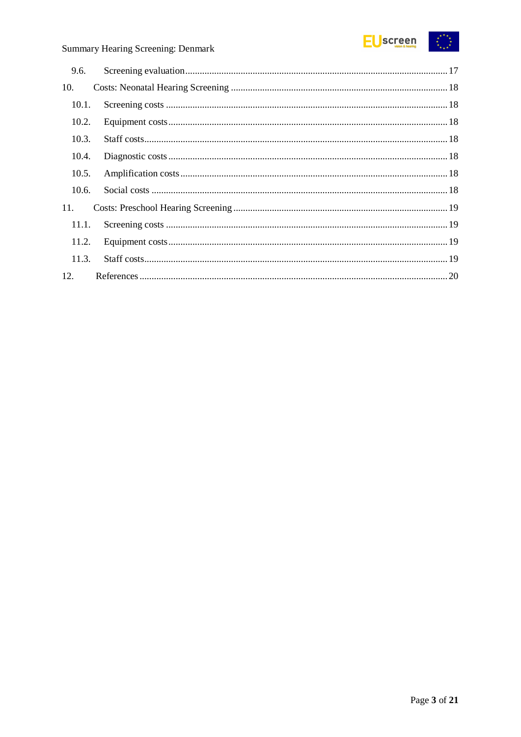

| 9.6.  |  |
|-------|--|
| 10.   |  |
| 10.1. |  |
| 10.2. |  |
| 10.3. |  |
| 10.4. |  |
| 10.5. |  |
| 10.6. |  |
| 11.   |  |
| 11.1. |  |
| 11.2. |  |
| 11.3. |  |
| 12.   |  |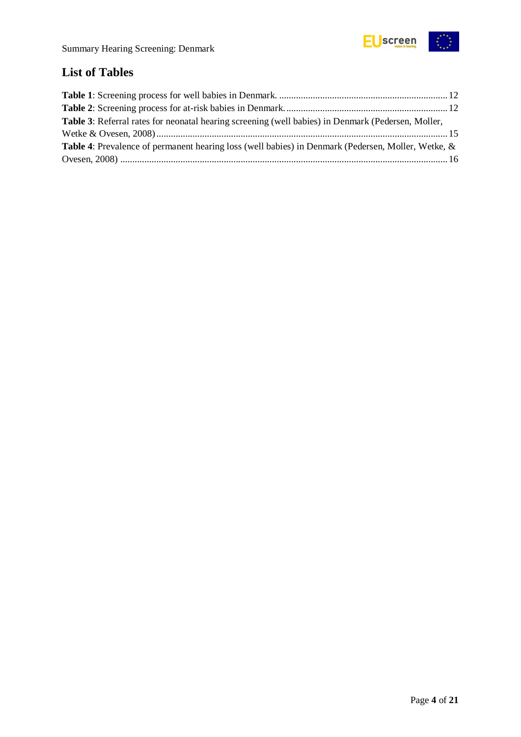

# <span id="page-3-0"></span>**List of Tables**

| <b>Table 3:</b> Referral rates for neonatal hearing screening (well babies) in Denmark (Pedersen, Moller, |  |
|-----------------------------------------------------------------------------------------------------------|--|
|                                                                                                           |  |
| <b>Table 4:</b> Prevalence of permanent hearing loss (well babies) in Denmark (Pedersen, Moller, Wetke, & |  |
|                                                                                                           |  |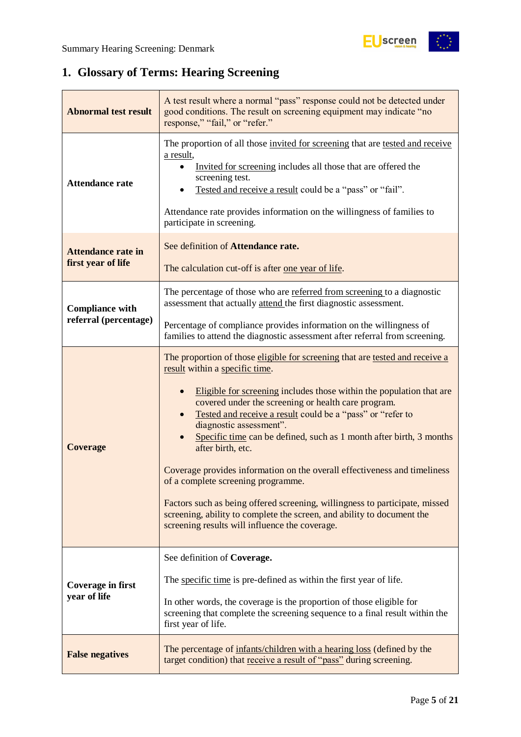# <span id="page-4-0"></span>**1. Glossary of Terms: Hearing Screening**

| <b>Abnormal test result</b>                     | A test result where a normal "pass" response could not be detected under<br>good conditions. The result on screening equipment may indicate "no<br>response," "fail," or "refer."                                                                                                                                                                                                                                                                                                                                                                                                                                                                                                                                                                                             |
|-------------------------------------------------|-------------------------------------------------------------------------------------------------------------------------------------------------------------------------------------------------------------------------------------------------------------------------------------------------------------------------------------------------------------------------------------------------------------------------------------------------------------------------------------------------------------------------------------------------------------------------------------------------------------------------------------------------------------------------------------------------------------------------------------------------------------------------------|
| <b>Attendance rate</b>                          | The proportion of all those invited for screening that are tested and receive<br>a result,<br>Invited for screening includes all those that are offered the<br>screening test.<br>Tested and receive a result could be a "pass" or "fail".<br>Attendance rate provides information on the willingness of families to<br>participate in screening.                                                                                                                                                                                                                                                                                                                                                                                                                             |
| <b>Attendance rate in</b><br>first year of life | See definition of Attendance rate.<br>The calculation cut-off is after <u>one year of life</u> .                                                                                                                                                                                                                                                                                                                                                                                                                                                                                                                                                                                                                                                                              |
| <b>Compliance with</b><br>referral (percentage) | The percentage of those who are referred from screening to a diagnostic<br>assessment that actually attend the first diagnostic assessment.<br>Percentage of compliance provides information on the willingness of                                                                                                                                                                                                                                                                                                                                                                                                                                                                                                                                                            |
|                                                 | families to attend the diagnostic assessment after referral from screening.                                                                                                                                                                                                                                                                                                                                                                                                                                                                                                                                                                                                                                                                                                   |
| <b>Coverage</b>                                 | The proportion of those eligible for screening that are tested and receive a<br>result within a specific time.<br>Eligible for screening includes those within the population that are<br>$\bullet$<br>covered under the screening or health care program.<br>Tested and receive a result could be a "pass" or "refer to<br>diagnostic assessment".<br>Specific time can be defined, such as 1 month after birth, 3 months<br>after birth, etc.<br>Coverage provides information on the overall effectiveness and timeliness<br>of a complete screening programme.<br>Factors such as being offered screening, willingness to participate, missed<br>screening, ability to complete the screen, and ability to document the<br>screening results will influence the coverage. |
| <b>Coverage in first</b><br>year of life        | See definition of Coverage.<br>The specific time is pre-defined as within the first year of life.<br>In other words, the coverage is the proportion of those eligible for<br>screening that complete the screening sequence to a final result within the<br>first year of life.                                                                                                                                                                                                                                                                                                                                                                                                                                                                                               |
| <b>False negatives</b>                          | The percentage of infants/children with a hearing loss (defined by the<br>target condition) that receive a result of "pass" during screening.                                                                                                                                                                                                                                                                                                                                                                                                                                                                                                                                                                                                                                 |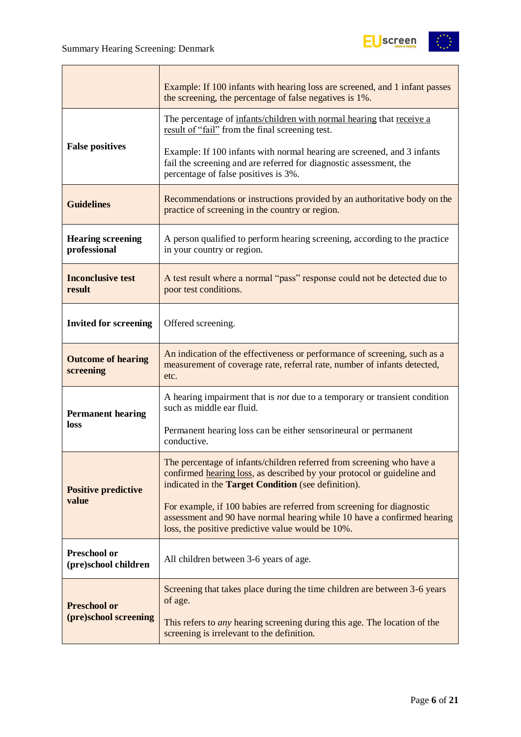

|                                             | Example: If 100 infants with hearing loss are screened, and 1 infant passes<br>the screening, the percentage of false negatives is 1%.                                                                 |  |  |
|---------------------------------------------|--------------------------------------------------------------------------------------------------------------------------------------------------------------------------------------------------------|--|--|
|                                             | The percentage of infants/children with normal hearing that receive a<br>result of "fail" from the final screening test.                                                                               |  |  |
| <b>False positives</b>                      | Example: If 100 infants with normal hearing are screened, and 3 infants<br>fail the screening and are referred for diagnostic assessment, the<br>percentage of false positives is 3%.                  |  |  |
| <b>Guidelines</b>                           | Recommendations or instructions provided by an authoritative body on the<br>practice of screening in the country or region.                                                                            |  |  |
| <b>Hearing screening</b><br>professional    | A person qualified to perform hearing screening, according to the practice<br>in your country or region.                                                                                               |  |  |
| <b>Inconclusive test</b><br>result          | A test result where a normal "pass" response could not be detected due to<br>poor test conditions.                                                                                                     |  |  |
| <b>Invited for screening</b>                | Offered screening.                                                                                                                                                                                     |  |  |
| <b>Outcome of hearing</b><br>screening      | An indication of the effectiveness or performance of screening, such as a<br>measurement of coverage rate, referral rate, number of infants detected,<br>etc.                                          |  |  |
| <b>Permanent hearing</b>                    | A hearing impairment that is <i>not</i> due to a temporary or transient condition<br>such as middle ear fluid.                                                                                         |  |  |
| loss                                        | Permanent hearing loss can be either sensorineural or permanent<br>conductive.                                                                                                                         |  |  |
| <b>Positive predictive</b>                  | The percentage of infants/children referred from screening who have a<br>confirmed hearing loss, as described by your protocol or guideline and<br>indicated in the Target Condition (see definition). |  |  |
| value                                       | For example, if 100 babies are referred from screening for diagnostic<br>assessment and 90 have normal hearing while 10 have a confirmed hearing<br>loss, the positive predictive value would be 10%.  |  |  |
| <b>Preschool or</b><br>(pre)school children | All children between 3-6 years of age.                                                                                                                                                                 |  |  |
| <b>Preschool or</b>                         | Screening that takes place during the time children are between 3-6 years<br>of age.                                                                                                                   |  |  |
| (pre)school screening                       | This refers to <i>any</i> hearing screening during this age. The location of the<br>screening is irrelevant to the definition.                                                                         |  |  |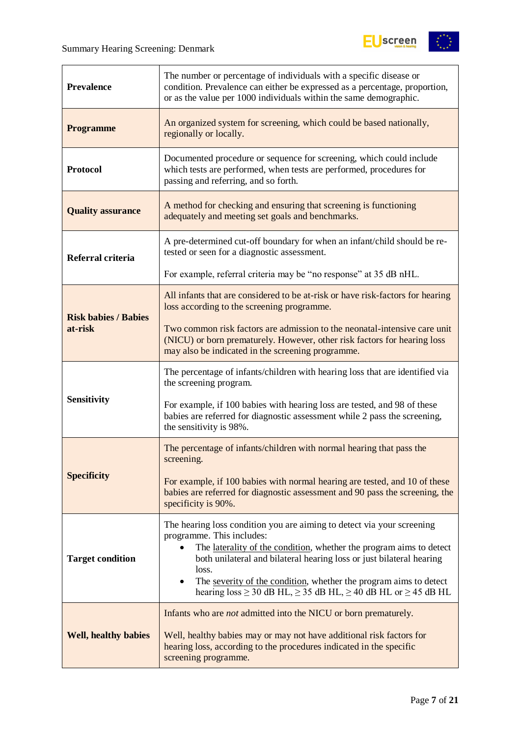

| <b>Prevalence</b>           | The number or percentage of individuals with a specific disease or<br>condition. Prevalence can either be expressed as a percentage, proportion,<br>or as the value per 1000 individuals within the same demographic.                                                                                                                                                                                             |  |  |
|-----------------------------|-------------------------------------------------------------------------------------------------------------------------------------------------------------------------------------------------------------------------------------------------------------------------------------------------------------------------------------------------------------------------------------------------------------------|--|--|
| <b>Programme</b>            | An organized system for screening, which could be based nationally,<br>regionally or locally.                                                                                                                                                                                                                                                                                                                     |  |  |
| <b>Protocol</b>             | Documented procedure or sequence for screening, which could include<br>which tests are performed, when tests are performed, procedures for<br>passing and referring, and so forth.                                                                                                                                                                                                                                |  |  |
| <b>Quality assurance</b>    | A method for checking and ensuring that screening is functioning<br>adequately and meeting set goals and benchmarks.                                                                                                                                                                                                                                                                                              |  |  |
| Referral criteria           | A pre-determined cut-off boundary for when an infant/child should be re-<br>tested or seen for a diagnostic assessment.                                                                                                                                                                                                                                                                                           |  |  |
|                             | For example, referral criteria may be "no response" at 35 dB nHL.                                                                                                                                                                                                                                                                                                                                                 |  |  |
| <b>Risk babies / Babies</b> | All infants that are considered to be at-risk or have risk-factors for hearing<br>loss according to the screening programme.                                                                                                                                                                                                                                                                                      |  |  |
| at-risk                     | Two common risk factors are admission to the neonatal-intensive care unit<br>(NICU) or born prematurely. However, other risk factors for hearing loss<br>may also be indicated in the screening programme.                                                                                                                                                                                                        |  |  |
|                             | The percentage of infants/children with hearing loss that are identified via<br>the screening program.                                                                                                                                                                                                                                                                                                            |  |  |
| <b>Sensitivity</b>          | For example, if 100 babies with hearing loss are tested, and 98 of these<br>babies are referred for diagnostic assessment while 2 pass the screening,<br>the sensitivity is 98%.                                                                                                                                                                                                                                  |  |  |
|                             | The percentage of infants/children with normal hearing that pass the<br>screening.                                                                                                                                                                                                                                                                                                                                |  |  |
| <b>Specificity</b>          | For example, if 100 babies with normal hearing are tested, and 10 of these<br>babies are referred for diagnostic assessment and 90 pass the screening, the<br>specificity is 90%.                                                                                                                                                                                                                                 |  |  |
| <b>Target condition</b>     | The hearing loss condition you are aiming to detect via your screening<br>programme. This includes:<br>The laterality of the condition, whether the program aims to detect<br>both unilateral and bilateral hearing loss or just bilateral hearing<br>loss.<br>The severity of the condition, whether the program aims to detect<br>hearing $loss \ge 30$ dB HL, $\ge 35$ dB HL, $\ge 40$ dB HL or $\ge 45$ dB HL |  |  |
| <b>Well, healthy babies</b> | Infants who are <i>not</i> admitted into the NICU or born prematurely.<br>Well, healthy babies may or may not have additional risk factors for<br>hearing loss, according to the procedures indicated in the specific<br>screening programme.                                                                                                                                                                     |  |  |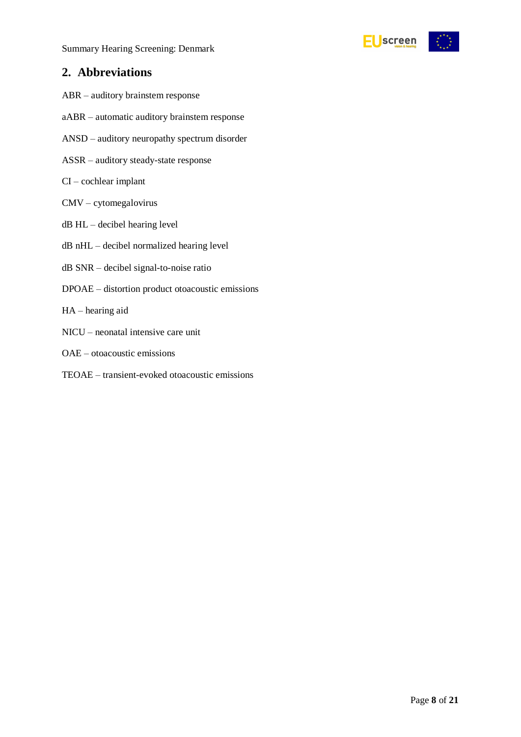

### <span id="page-7-0"></span>**2. Abbreviations**

- ABR auditory brainstem response
- aABR automatic auditory brainstem response
- ANSD auditory neuropathy spectrum disorder
- ASSR auditory steady-state response
- CI cochlear implant
- CMV cytomegalovirus
- dB HL decibel hearing level
- dB nHL decibel normalized hearing level
- dB SNR decibel signal-to-noise ratio
- DPOAE distortion product otoacoustic emissions
- HA hearing aid
- NICU neonatal intensive care unit
- OAE otoacoustic emissions
- TEOAE transient-evoked otoacoustic emissions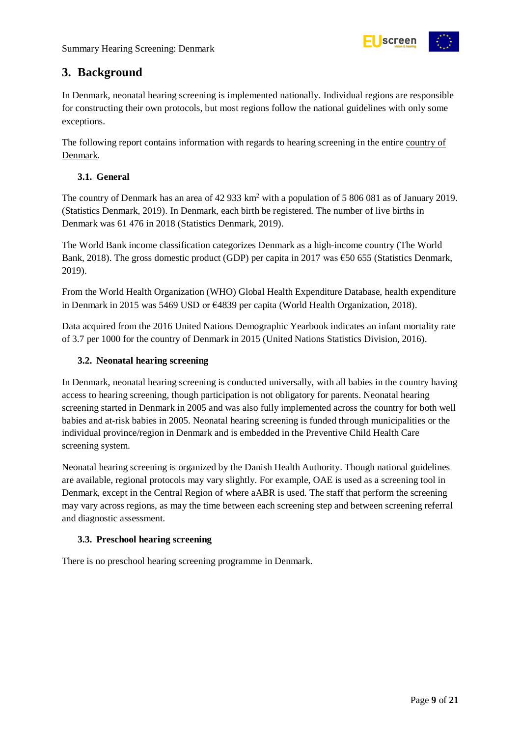

### <span id="page-8-0"></span>**3. Background**

In Denmark, neonatal hearing screening is implemented nationally. Individual regions are responsible for constructing their own protocols, but most regions follow the national guidelines with only some exceptions.

The following report contains information with regards to hearing screening in the entire country of Denmark.

#### <span id="page-8-1"></span>**3.1. General**

The country of Denmark has an area of 42 933 km<sup>2</sup> with a population of 5 806 081 as of January 2019. (Statistics Denmark, 2019). In Denmark, each birth be registered. The number of live births in Denmark was 61 476 in 2018 (Statistics Denmark, 2019).

The World Bank income classification categorizes Denmark as a high-income country (The World Bank, 2018). The gross domestic product (GDP) per capita in 2017 was  $\epsilon$ 50 655 (Statistics Denmark, 2019).

From the World Health Organization (WHO) Global Health Expenditure Database, health expenditure in Denmark in 2015 was 5469 USD or €4839 per capita (World Health Organization, 2018).

Data acquired from the 2016 United Nations Demographic Yearbook indicates an infant mortality rate of 3.7 per 1000 for the country of Denmark in 2015 (United Nations Statistics Division, 2016).

#### <span id="page-8-2"></span>**3.2. Neonatal hearing screening**

In Denmark, neonatal hearing screening is conducted universally, with all babies in the country having access to hearing screening, though participation is not obligatory for parents. Neonatal hearing screening started in Denmark in 2005 and was also fully implemented across the country for both well babies and at-risk babies in 2005. Neonatal hearing screening is funded through municipalities or the individual province/region in Denmark and is embedded in the Preventive Child Health Care screening system.

Neonatal hearing screening is organized by the Danish Health Authority. Though national guidelines are available, regional protocols may vary slightly. For example, OAE is used as a screening tool in Denmark, except in the Central Region of where aABR is used. The staff that perform the screening may vary across regions, as may the time between each screening step and between screening referral and diagnostic assessment.

#### <span id="page-8-3"></span>**3.3. Preschool hearing screening**

There is no preschool hearing screening programme in Denmark.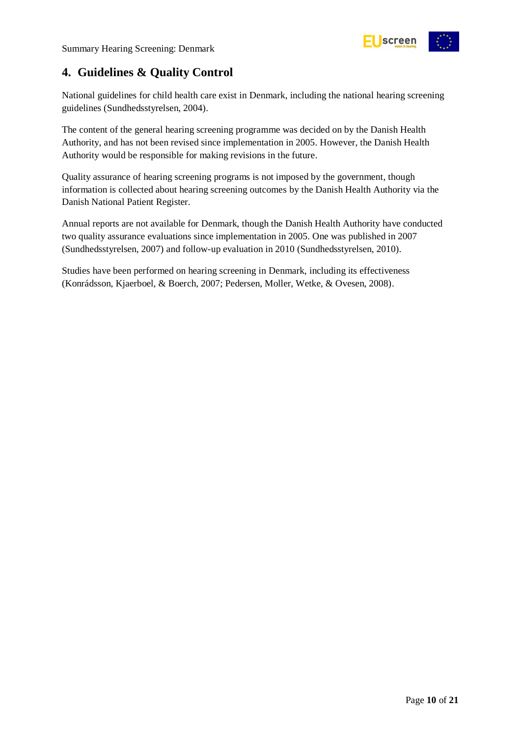

# <span id="page-9-0"></span>**4. Guidelines & Quality Control**

National guidelines for child health care exist in Denmark, including the national hearing screening guidelines (Sundhedsstyrelsen, 2004).

The content of the general hearing screening programme was decided on by the Danish Health Authority, and has not been revised since implementation in 2005. However, the Danish Health Authority would be responsible for making revisions in the future.

Quality assurance of hearing screening programs is not imposed by the government, though information is collected about hearing screening outcomes by the Danish Health Authority via the Danish National Patient Register.

Annual reports are not available for Denmark, though the Danish Health Authority have conducted two quality assurance evaluations since implementation in 2005. One was published in 2007 (Sundhedsstyrelsen, 2007) and follow-up evaluation in 2010 (Sundhedsstyrelsen, 2010).

Studies have been performed on hearing screening in Denmark, including its effectiveness (Konrádsson, Kjaerboel, & Boerch, 2007; Pedersen, Moller, Wetke, & Ovesen, 2008).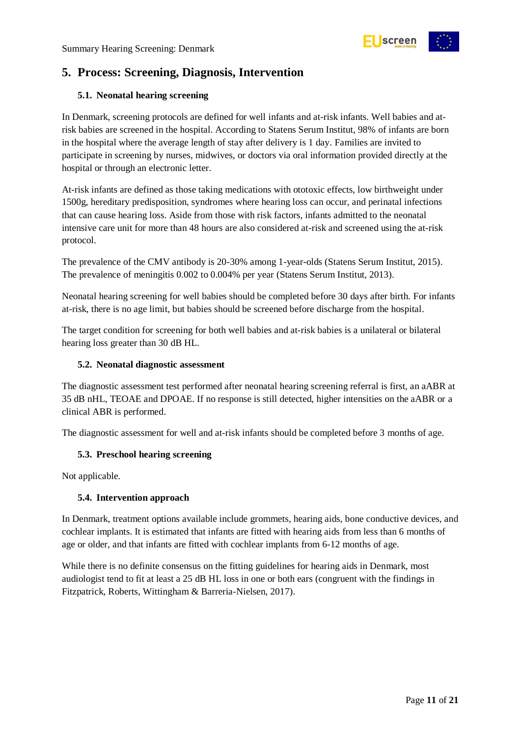

# <span id="page-10-0"></span>**5. Process: Screening, Diagnosis, Intervention**

#### <span id="page-10-1"></span>**5.1. Neonatal hearing screening**

In Denmark, screening protocols are defined for well infants and at-risk infants. Well babies and atrisk babies are screened in the hospital. According to Statens Serum Institut, 98% of infants are born in the hospital where the average length of stay after delivery is 1 day. Families are invited to participate in screening by nurses, midwives, or doctors via oral information provided directly at the hospital or through an electronic letter.

At-risk infants are defined as those taking medications with ototoxic effects, low birthweight under 1500g, hereditary predisposition, syndromes where hearing loss can occur, and perinatal infections that can cause hearing loss. Aside from those with risk factors, infants admitted to the neonatal intensive care unit for more than 48 hours are also considered at-risk and screened using the at-risk protocol.

The prevalence of the CMV antibody is 20-30% among 1-year-olds (Statens Serum Institut, 2015). The prevalence of meningitis 0.002 to 0.004% per year (Statens Serum Institut, 2013).

Neonatal hearing screening for well babies should be completed before 30 days after birth. For infants at-risk, there is no age limit, but babies should be screened before discharge from the hospital.

The target condition for screening for both well babies and at-risk babies is a unilateral or bilateral hearing loss greater than 30 dB HL.

#### <span id="page-10-2"></span>**5.2. Neonatal diagnostic assessment**

The diagnostic assessment test performed after neonatal hearing screening referral is first, an aABR at 35 dB nHL, TEOAE and DPOAE. If no response is still detected, higher intensities on the aABR or a clinical ABR is performed.

The diagnostic assessment for well and at-risk infants should be completed before 3 months of age.

#### <span id="page-10-3"></span>**5.3. Preschool hearing screening**

Not applicable.

#### <span id="page-10-4"></span>**5.4. Intervention approach**

In Denmark, treatment options available include grommets, hearing aids, bone conductive devices, and cochlear implants. It is estimated that infants are fitted with hearing aids from less than 6 months of age or older, and that infants are fitted with cochlear implants from 6-12 months of age.

While there is no definite consensus on the fitting guidelines for hearing aids in Denmark, most audiologist tend to fit at least a 25 dB HL loss in one or both ears (congruent with the findings in Fitzpatrick, Roberts, Wittingham & Barreria-Nielsen, 2017).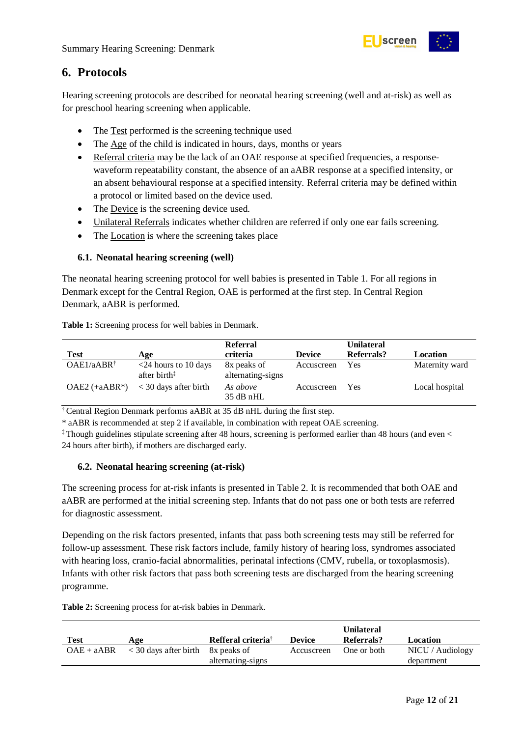

### <span id="page-11-0"></span>**6. Protocols**

Hearing screening protocols are described for neonatal hearing screening (well and at-risk) as well as for preschool hearing screening when applicable.

- The Test performed is the screening technique used
- The Age of the child is indicated in hours, days, months or years
- Referral criteria may be the lack of an OAE response at specified frequencies, a responsewaveform repeatability constant, the absence of an aABR response at a specified intensity, or an absent behavioural response at a specified intensity. Referral criteria may be defined within a protocol or limited based on the device used.
- The Device is the screening device used.
- Unilateral Referrals indicates whether children are referred if only one ear fails screening.
- The Location is where the screening takes place

#### <span id="page-11-1"></span>**6.1. Neonatal hearing screening (well)**

The neonatal hearing screening protocol for well babies is presented in Table 1. For all regions in Denmark except for the Central Region, OAE is performed at the first step. In Central Region Denmark, aABR is performed.

|                       |                                                   | <b>Referral</b>                  |               | <b>Unilateral</b> |                |
|-----------------------|---------------------------------------------------|----------------------------------|---------------|-------------------|----------------|
| <b>Test</b>           | Age                                               | criteria                         | <b>Device</b> | Referrals?        | Location       |
| $OAE1/aABR^{\dagger}$ | $<$ 24 hours to 10 days<br>after birth $\ddagger$ | 8x peaks of<br>alternating-signs | Accuscreen    | Yes               | Maternity ward |
| $OAE2 (+aABR*)$       | $<$ 30 days after birth                           | As above<br>$35$ dB nHL          | Accuscreen    | Yes               | Local hospital |

<span id="page-11-3"></span>**Table 1:** Screening process for well babies in Denmark.

† Central Region Denmark performs aABR at 35 dB nHL during the first step.

\* aABR is recommended at step 2 if available, in combination with repeat OAE screening.

‡ Though guidelines stipulate screening after 48 hours, screening is performed earlier than 48 hours (and even < 24 hours after birth), if mothers are discharged early.

#### <span id="page-11-2"></span>**6.2. Neonatal hearing screening (at-risk)**

The screening process for at-risk infants is presented in Table 2. It is recommended that both OAE and aABR are performed at the initial screening step. Infants that do not pass one or both tests are referred for diagnostic assessment.

Depending on the risk factors presented, infants that pass both screening tests may still be referred for follow-up assessment. These risk factors include, family history of hearing loss, syndromes associated with hearing loss, cranio-facial abnormalities, perinatal infections (CMV, rubella, or toxoplasmosis). Infants with other risk factors that pass both screening tests are discharged from the hearing screening programme.

<span id="page-11-4"></span>**Table 2:** Screening process for at-risk babies in Denmark.

| Test         | Age                                   | Refferal criteria <sup>†</sup> | <b>Device</b> | <b>Unilateral</b><br>Referrals? | Location         |
|--------------|---------------------------------------|--------------------------------|---------------|---------------------------------|------------------|
| $OAE + aABR$ | $\langle 30 \rangle$ days after birth | 8x peaks of                    | Accuscreen    | One or both                     | NICU / Audiology |
|              |                                       | alternating-signs              |               |                                 | department       |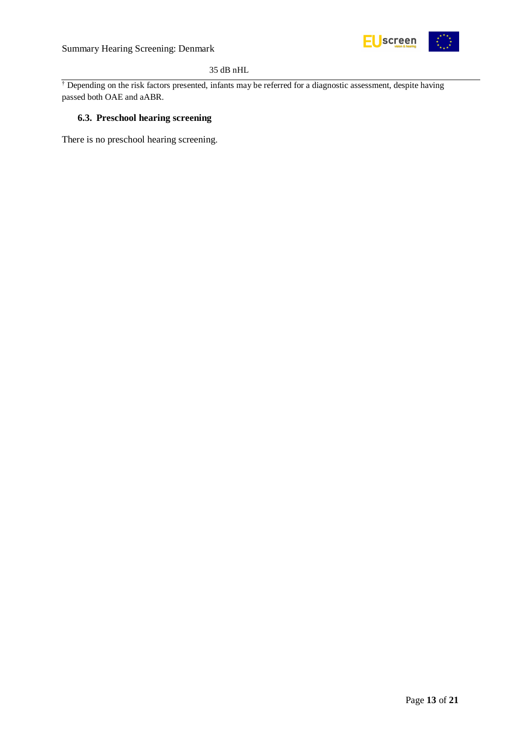

#### 35 dB nHL

<sup>†</sup> Depending on the risk factors presented, infants may be referred for a diagnostic assessment, despite having passed both OAE and aABR.

#### <span id="page-12-0"></span>**6.3. Preschool hearing screening**

There is no preschool hearing screening.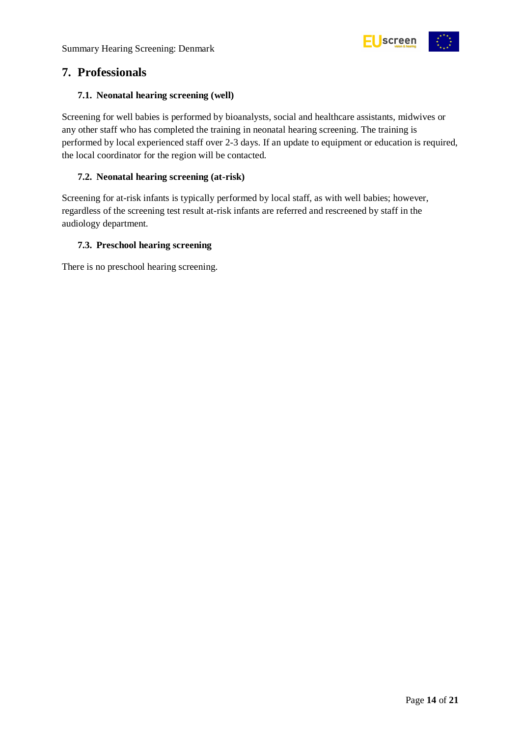

### <span id="page-13-0"></span>**7. Professionals**

#### <span id="page-13-1"></span>**7.1. Neonatal hearing screening (well)**

Screening for well babies is performed by bioanalysts, social and healthcare assistants, midwives or any other staff who has completed the training in neonatal hearing screening. The training is performed by local experienced staff over 2-3 days. If an update to equipment or education is required, the local coordinator for the region will be contacted.

#### <span id="page-13-2"></span>**7.2. Neonatal hearing screening (at-risk)**

Screening for at-risk infants is typically performed by local staff, as with well babies; however, regardless of the screening test result at-risk infants are referred and rescreened by staff in the audiology department.

#### <span id="page-13-3"></span>**7.3. Preschool hearing screening**

There is no preschool hearing screening.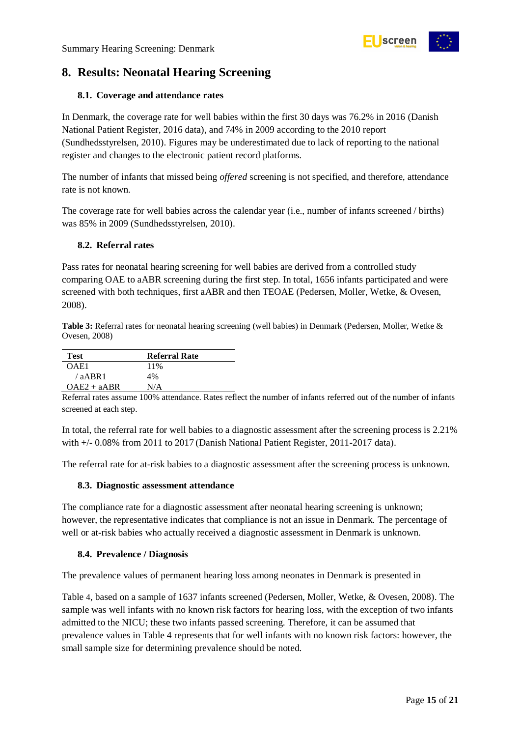

# <span id="page-14-0"></span>**8. Results: Neonatal Hearing Screening**

#### <span id="page-14-1"></span>**8.1. Coverage and attendance rates**

In Denmark, the coverage rate for well babies within the first 30 days was 76.2% in 2016 (Danish National Patient Register, 2016 data), and 74% in 2009 according to the 2010 report (Sundhedsstyrelsen, 2010). Figures may be underestimated due to lack of reporting to the national register and changes to the electronic patient record platforms.

The number of infants that missed being *offered* screening is not specified, and therefore, attendance rate is not known.

The coverage rate for well babies across the calendar year (i.e., number of infants screened / births) was 85% in 2009 (Sundhedsstyrelsen, 2010).

#### <span id="page-14-2"></span>**8.2. Referral rates**

Pass rates for neonatal hearing screening for well babies are derived from a controlled study comparing OAE to aABR screening during the first step. In total, 1656 infants participated and were screened with both techniques, first aABR and then TEOAE (Pedersen, Moller, Wetke, & Ovesen, 2008).

<span id="page-14-5"></span>**Table 3:** Referral rates for neonatal hearing screening (well babies) in Denmark (Pedersen, Moller, Wetke & Ovesen, 2008)

| Test          | <b>Referral Rate</b> |
|---------------|----------------------|
| OAE1          | 11%                  |
| $/a$ ABR1     | 4%                   |
| $OAE2 + aABR$ | N/A                  |

Referral rates assume 100% attendance. Rates reflect the number of infants referred out of the number of infants screened at each step.

In total, the referral rate for well babies to a diagnostic assessment after the screening process is 2.21% with +/- 0.08% from 2011 to 2017 (Danish National Patient Register, 2011-2017 data).

The referral rate for at-risk babies to a diagnostic assessment after the screening process is unknown.

#### <span id="page-14-3"></span>**8.3. Diagnostic assessment attendance**

The compliance rate for a diagnostic assessment after neonatal hearing screening is unknown; however, the representative indicates that compliance is not an issue in Denmark. The percentage of well or at-risk babies who actually received a diagnostic assessment in Denmark is unknown.

#### <span id="page-14-4"></span>**8.4. Prevalence / Diagnosis**

The prevalence values of permanent hearing loss among neonates in Denmark is presented in

[Table](#page-15-3) 4, based on a sample of 1637 infants screened (Pedersen, Moller, Wetke, & Ovesen, 2008). The sample was well infants with no known risk factors for hearing loss, with the exception of two infants admitted to the NICU; these two infants passed screening. Therefore, it can be assumed that prevalence values in Table 4 represents that for well infants with no known risk factors: however, the small sample size for determining prevalence should be noted.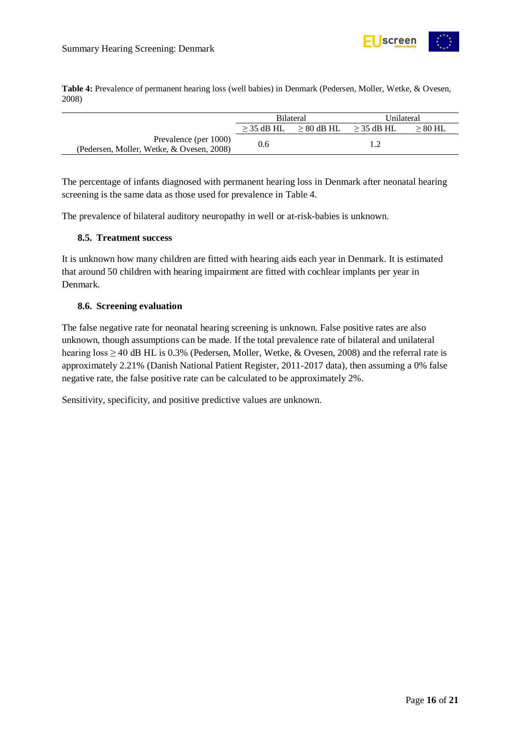

<span id="page-15-3"></span><span id="page-15-2"></span>**Table 4:** Prevalence of permanent hearing loss (well babies) in Denmark (Pedersen, Moller, Wetke, & Ovesen, 2008)

|                                           | <b>Bilateral</b> |                 | Unilateral   |           |
|-------------------------------------------|------------------|-----------------|--------------|-----------|
|                                           | $>$ 35 dB HL     | $\geq 80$ dB HL | $>$ 35 dB HL | $> 80$ HL |
| Prevalence (per 1000)                     | 0.6              |                 |              |           |
| (Pedersen, Moller, Wetke, & Ovesen, 2008) |                  |                 |              |           |

The percentage of infants diagnosed with permanent hearing loss in Denmark after neonatal hearing screening is the same data as those used for prevalence in Table 4.

The prevalence of bilateral auditory neuropathy in well or at-risk-babies is unknown.

#### <span id="page-15-0"></span>**8.5. Treatment success**

It is unknown how many children are fitted with hearing aids each year in Denmark. It is estimated that around 50 children with hearing impairment are fitted with cochlear implants per year in Denmark.

#### <span id="page-15-1"></span>**8.6. Screening evaluation**

The false negative rate for neonatal hearing screening is unknown. False positive rates are also unknown, though assumptions can be made. If the total prevalence rate of bilateral and unilateral hearing loss  $\geq$  40 dB HL is 0.3% (Pedersen, Moller, Wetke, & Ovesen, 2008) and the referral rate is approximately 2.21% (Danish National Patient Register, 2011-2017 data), then assuming a 0% false negative rate, the false positive rate can be calculated to be approximately 2%.

Sensitivity, specificity, and positive predictive values are unknown.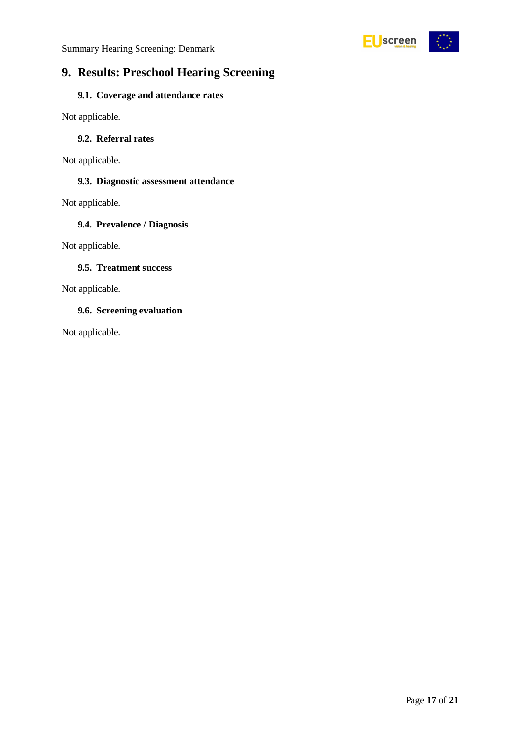

# <span id="page-16-0"></span>**9. Results: Preschool Hearing Screening**

#### <span id="page-16-1"></span>**9.1. Coverage and attendance rates**

Not applicable.

#### <span id="page-16-2"></span>**9.2. Referral rates**

Not applicable.

#### <span id="page-16-3"></span>**9.3. Diagnostic assessment attendance**

Not applicable.

#### <span id="page-16-4"></span>**9.4. Prevalence / Diagnosis**

Not applicable.

#### <span id="page-16-5"></span>**9.5. Treatment success**

Not applicable.

#### <span id="page-16-6"></span>**9.6. Screening evaluation**

Not applicable.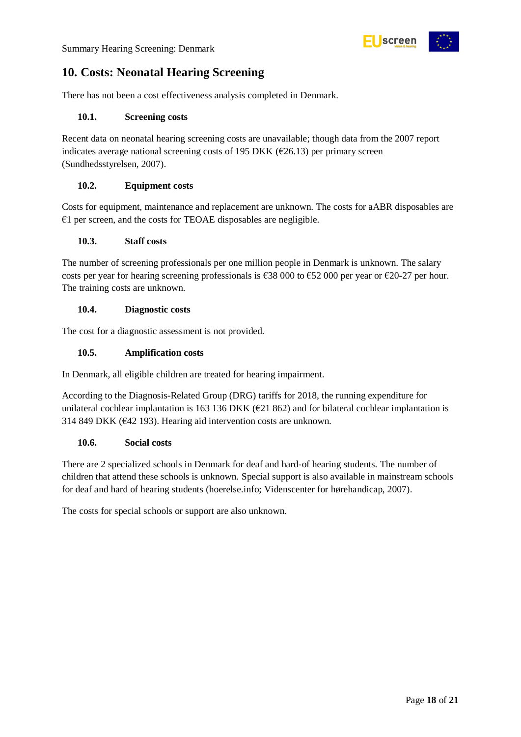

# <span id="page-17-0"></span>**10. Costs: Neonatal Hearing Screening**

There has not been a cost effectiveness analysis completed in Denmark.

#### <span id="page-17-1"></span>**10.1. Screening costs**

Recent data on neonatal hearing screening costs are unavailable; though data from the 2007 report indicates average national screening costs of 195 DKK ( $\epsilon$ 26.13) per primary screen (Sundhedsstyrelsen, 2007).

#### <span id="page-17-2"></span>**10.2. Equipment costs**

Costs for equipment, maintenance and replacement are unknown. The costs for aABR disposables are €1 per screen, and the costs for TEOAE disposables are negligible.

#### <span id="page-17-3"></span>**10.3. Staff costs**

The number of screening professionals per one million people in Denmark is unknown. The salary costs per year for hearing screening professionals is  $638\,000$  to  $652\,000$  per year or  $620-27$  per hour. The training costs are unknown.

#### <span id="page-17-4"></span>**10.4. Diagnostic costs**

The cost for a diagnostic assessment is not provided.

#### <span id="page-17-5"></span>**10.5. Amplification costs**

In Denmark, all eligible children are treated for hearing impairment.

According to the Diagnosis-Related Group (DRG) tariffs for 2018, the running expenditure for unilateral cochlear implantation is 163 136 DKK ( $E21 862$ ) and for bilateral cochlear implantation is 314 849 DKK (€42 193). Hearing aid intervention costs are unknown.

#### <span id="page-17-6"></span>**10.6. Social costs**

There are 2 specialized schools in Denmark for deaf and hard-of hearing students. The number of children that attend these schools is unknown. Special support is also available in mainstream schools for deaf and hard of hearing students (hoerelse.info; Videnscenter for hørehandicap, 2007).

The costs for special schools or support are also unknown.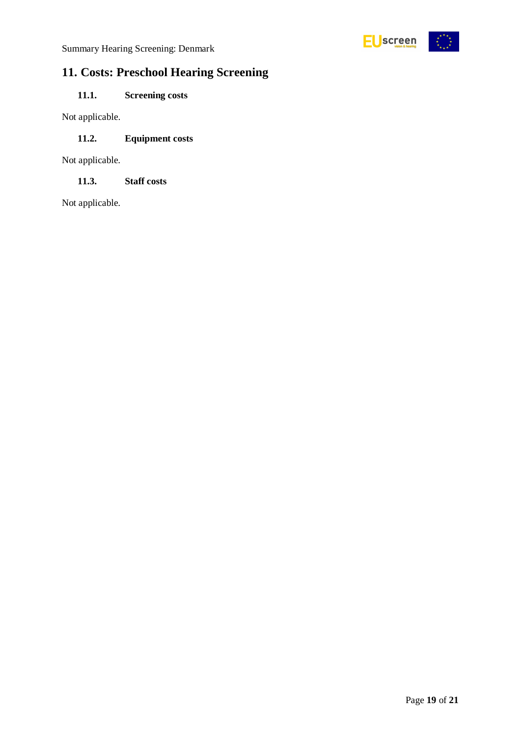

# <span id="page-18-0"></span>**11. Costs: Preschool Hearing Screening**

### <span id="page-18-1"></span>**11.1. Screening costs**

Not applicable.

#### <span id="page-18-2"></span>**11.2. Equipment costs**

Not applicable.

<span id="page-18-3"></span>**11.3. Staff costs**

Not applicable.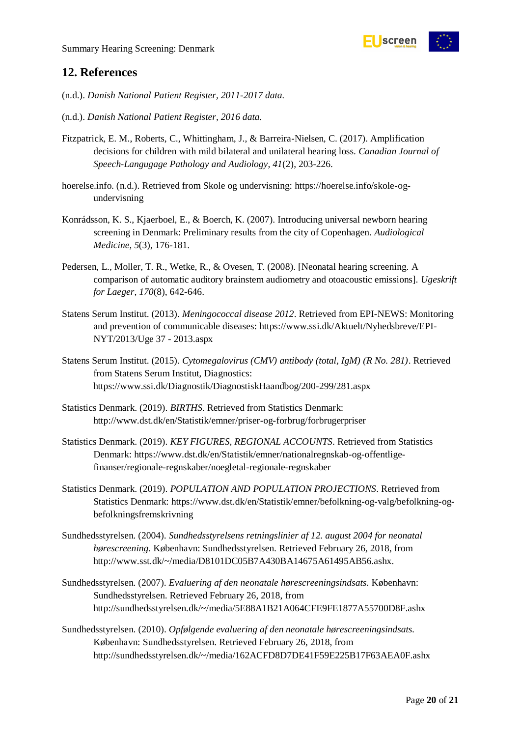

### <span id="page-19-0"></span>**12. References**

- (n.d.). *Danish National Patient Register, 2011-2017 data.*
- (n.d.). *Danish National Patient Register, 2016 data.*
- Fitzpatrick, E. M., Roberts, C., Whittingham, J., & Barreira-Nielsen, C. (2017). Amplification decisions for children with mild bilateral and unilateral hearing loss. *Canadian Journal of Speech-Langugage Pathology and Audiology, 41*(2), 203-226.
- hoerelse.info. (n.d.). Retrieved from Skole og undervisning: https://hoerelse.info/skole-ogundervisning
- Konrádsson, K. S., Kjaerboel, E., & Boerch, K. (2007). Introducing universal newborn hearing screening in Denmark: Preliminary results from the city of Copenhagen. *Audiological Medicine, 5*(3), 176-181.
- Pedersen, L., Moller, T. R., Wetke, R., & Ovesen, T. (2008). [Neonatal hearing screening. A comparison of automatic auditory brainstem audiometry and otoacoustic emissions]. *Ugeskrift for Laeger, 170*(8), 642-646.
- Statens Serum Institut. (2013). *Meningococcal disease 2012*. Retrieved from EPI-NEWS: Monitoring and prevention of communicable diseases: https://www.ssi.dk/Aktuelt/Nyhedsbreve/EPI-NYT/2013/Uge 37 - 2013.aspx
- Statens Serum Institut. (2015). *Cytomegalovirus (CMV) antibody (total, IgM) (R No. 281)*. Retrieved from Statens Serum Institut, Diagnostics: https://www.ssi.dk/Diagnostik/DiagnostiskHaandbog/200-299/281.aspx
- Statistics Denmark. (2019). *BIRTHS*. Retrieved from Statistics Denmark: http://www.dst.dk/en/Statistik/emner/priser-og-forbrug/forbrugerpriser
- Statistics Denmark. (2019). *KEY FIGURES, REGIONAL ACCOUNTS*. Retrieved from Statistics Denmark: https://www.dst.dk/en/Statistik/emner/nationalregnskab-og-offentligefinanser/regionale-regnskaber/noegletal-regionale-regnskaber
- Statistics Denmark. (2019). *POPULATION AND POPULATION PROJECTIONS*. Retrieved from Statistics Denmark: https://www.dst.dk/en/Statistik/emner/befolkning-og-valg/befolkning-ogbefolkningsfremskrivning
- Sundhedsstyrelsen. (2004). *Sundhedsstyrelsens retningslinier af 12. august 2004 for neonatal hørescreening.* København: Sundhedsstyrelsen. Retrieved February 26, 2018, from http://www.sst.dk/~/media/D8101DC05B7A430BA14675A61495AB56.ashx.
- Sundhedsstyrelsen. (2007). *Evaluering af den neonatale hørescreeningsindsats.* København: Sundhedsstyrelsen. Retrieved February 26, 2018, from http://sundhedsstyrelsen.dk/~/media/5E88A1B21A064CFE9FE1877A55700D8F.ashx
- Sundhedsstyrelsen. (2010). *Opfølgende evaluering af den neonatale hørescreeningsindsats.* København: Sundhedsstyrelsen. Retrieved February 26, 2018, from http://sundhedsstyrelsen.dk/~/media/162ACFD8D7DE41F59E225B17F63AEA0F.ashx